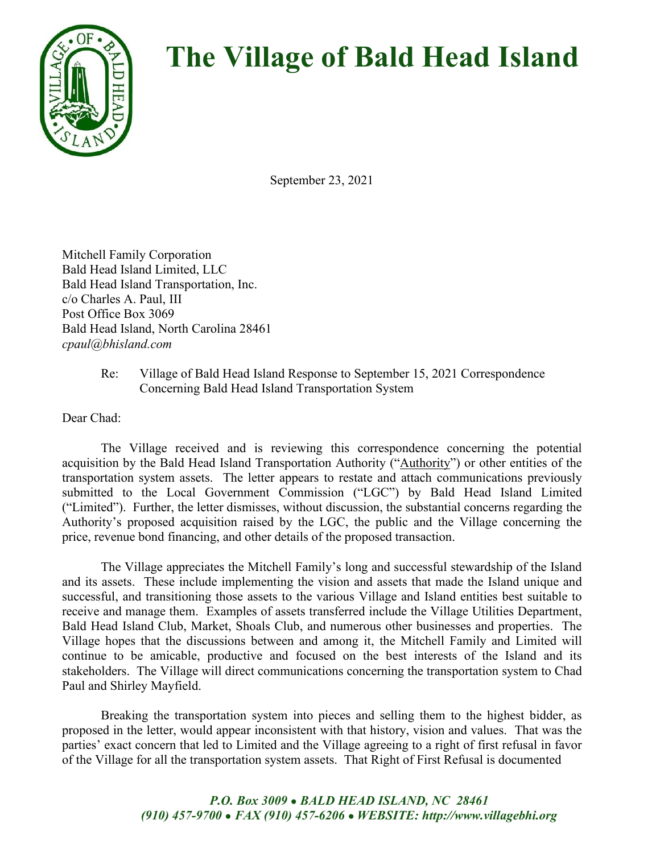

## **The Village of Bald Head Island**

September 23, 2021

Mitchell Family Corporation Bald Head Island Limited, LLC Bald Head Island Transportation, Inc. c/o Charles A. Paul, III Post Office Box 3069 Bald Head Island, North Carolina 28461 *cpaul@bhisland.com*

## Re: Village of Bald Head Island Response to September 15, 2021 Correspondence Concerning Bald Head Island Transportation System

Dear Chad:

The Village received and is reviewing this correspondence concerning the potential acquisition by the Bald Head Island Transportation Authority ("Authority") or other entities of the transportation system assets. The letter appears to restate and attach communications previously submitted to the Local Government Commission ("LGC") by Bald Head Island Limited ("Limited"). Further, the letter dismisses, without discussion, the substantial concerns regarding the Authority's proposed acquisition raised by the LGC, the public and the Village concerning the price, revenue bond financing, and other details of the proposed transaction.

The Village appreciates the Mitchell Family's long and successful stewardship of the Island and its assets. These include implementing the vision and assets that made the Island unique and successful, and transitioning those assets to the various Village and Island entities best suitable to receive and manage them. Examples of assets transferred include the Village Utilities Department, Bald Head Island Club, Market, Shoals Club, and numerous other businesses and properties. The Village hopes that the discussions between and among it, the Mitchell Family and Limited will continue to be amicable, productive and focused on the best interests of the Island and its stakeholders. The Village will direct communications concerning the transportation system to Chad Paul and Shirley Mayfield.

Breaking the transportation system into pieces and selling them to the highest bidder, as proposed in the letter, would appear inconsistent with that history, vision and values. That was the parties' exact concern that led to Limited and the Village agreeing to a right of first refusal in favor of the Village for all the transportation system assets. That Right of First Refusal is documented

> *P.O. Box 3009 ● BALD HEAD ISLAND, NC 28461 (910) 457-9700 ● FAX (910) 457-6206 ● WEBSITE: http://www.villagebhi.org*